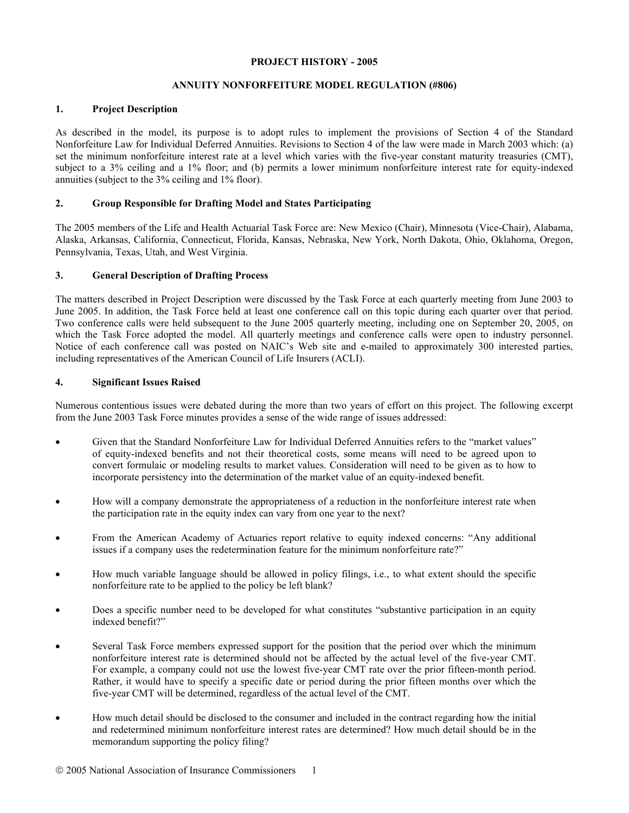#### **PROJECT HISTORY - 2005**

# **ANNUITY NONFORFEITURE MODEL REGULATION (#806)**

# **1. Project Description**

As described in the model, its purpose is to adopt rules to implement the provisions of Section 4 of the Standard Nonforfeiture Law for Individual Deferred Annuities. Revisions to Section 4 of the law were made in March 2003 which: (a) set the minimum nonforfeiture interest rate at a level which varies with the five-year constant maturity treasuries (CMT), subject to a 3% ceiling and a 1% floor; and (b) permits a lower minimum nonforfeiture interest rate for equity-indexed annuities (subject to the 3% ceiling and 1% floor).

# **2. Group Responsible for Drafting Model and States Participating**

The 2005 members of the Life and Health Actuarial Task Force are: New Mexico (Chair), Minnesota (Vice-Chair), Alabama, Alaska, Arkansas, California, Connecticut, Florida, Kansas, Nebraska, New York, North Dakota, Ohio, Oklahoma, Oregon, Pennsylvania, Texas, Utah, and West Virginia.

# **3. General Description of Drafting Process**

The matters described in Project Description were discussed by the Task Force at each quarterly meeting from June 2003 to June 2005. In addition, the Task Force held at least one conference call on this topic during each quarter over that period. Two conference calls were held subsequent to the June 2005 quarterly meeting, including one on September 20, 2005, on which the Task Force adopted the model. All quarterly meetings and conference calls were open to industry personnel. Notice of each conference call was posted on NAIC's Web site and e-mailed to approximately 300 interested parties, including representatives of the American Council of Life Insurers (ACLI).

# **4. Significant Issues Raised**

Numerous contentious issues were debated during the more than two years of effort on this project. The following excerpt from the June 2003 Task Force minutes provides a sense of the wide range of issues addressed:

- Given that the Standard Nonforfeiture Law for Individual Deferred Annuities refers to the "market values" of equity-indexed benefits and not their theoretical costs, some means will need to be agreed upon to convert formulaic or modeling results to market values. Consideration will need to be given as to how to incorporate persistency into the determination of the market value of an equity-indexed benefit.
- How will a company demonstrate the appropriateness of a reduction in the nonforfeiture interest rate when the participation rate in the equity index can vary from one year to the next?
- From the American Academy of Actuaries report relative to equity indexed concerns: "Any additional issues if a company uses the redetermination feature for the minimum nonforfeiture rate?"
- How much variable language should be allowed in policy filings, i.e., to what extent should the specific nonforfeiture rate to be applied to the policy be left blank?
- Does a specific number need to be developed for what constitutes "substantive participation in an equity indexed benefit?"
- Several Task Force members expressed support for the position that the period over which the minimum nonforfeiture interest rate is determined should not be affected by the actual level of the five-year CMT. For example, a company could not use the lowest five-year CMT rate over the prior fifteen-month period. Rather, it would have to specify a specific date or period during the prior fifteen months over which the five-year CMT will be determined, regardless of the actual level of the CMT.
- How much detail should be disclosed to the consumer and included in the contract regarding how the initial and redetermined minimum nonforfeiture interest rates are determined? How much detail should be in the memorandum supporting the policy filing?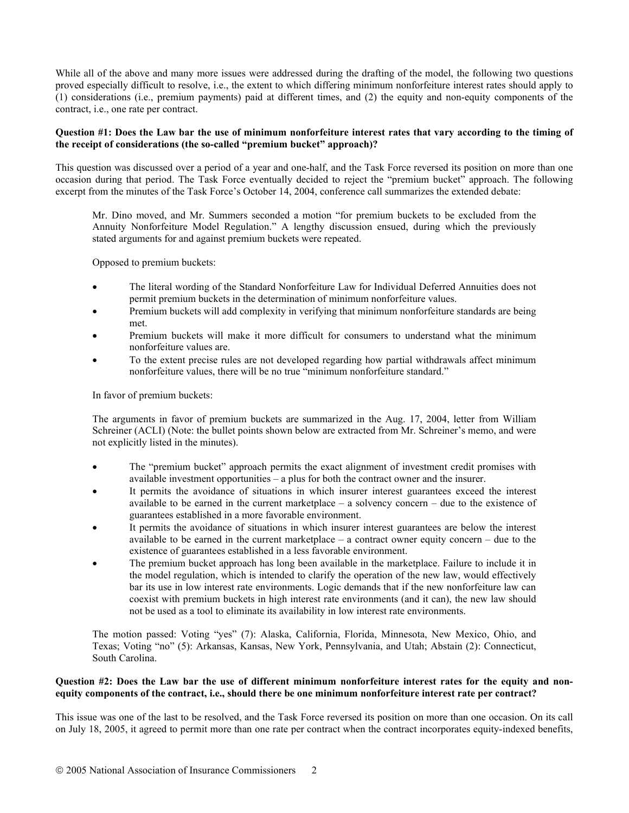While all of the above and many more issues were addressed during the drafting of the model, the following two questions proved especially difficult to resolve, i.e., the extent to which differing minimum nonforfeiture interest rates should apply to (1) considerations (i.e., premium payments) paid at different times, and (2) the equity and non-equity components of the contract, i.e., one rate per contract.

#### **Question #1: Does the Law bar the use of minimum nonforfeiture interest rates that vary according to the timing of the receipt of considerations (the so-called "premium bucket" approach)?**

This question was discussed over a period of a year and one-half, and the Task Force reversed its position on more than one occasion during that period. The Task Force eventually decided to reject the "premium bucket" approach. The following excerpt from the minutes of the Task Force's October 14, 2004, conference call summarizes the extended debate:

Mr. Dino moved, and Mr. Summers seconded a motion "for premium buckets to be excluded from the Annuity Nonforfeiture Model Regulation." A lengthy discussion ensued, during which the previously stated arguments for and against premium buckets were repeated.

Opposed to premium buckets:

- The literal wording of the Standard Nonforfeiture Law for Individual Deferred Annuities does not permit premium buckets in the determination of minimum nonforfeiture values.
- Premium buckets will add complexity in verifying that minimum nonforfeiture standards are being met.
- Premium buckets will make it more difficult for consumers to understand what the minimum nonforfeiture values are.
- To the extent precise rules are not developed regarding how partial withdrawals affect minimum nonforfeiture values, there will be no true "minimum nonforfeiture standard."

In favor of premium buckets:

The arguments in favor of premium buckets are summarized in the Aug. 17, 2004, letter from William Schreiner (ACLI) (Note: the bullet points shown below are extracted from Mr. Schreiner's memo, and were not explicitly listed in the minutes).

- The "premium bucket" approach permits the exact alignment of investment credit promises with available investment opportunities – a plus for both the contract owner and the insurer.
- It permits the avoidance of situations in which insurer interest guarantees exceed the interest available to be earned in the current marketplace – a solvency concern – due to the existence of guarantees established in a more favorable environment.
- It permits the avoidance of situations in which insurer interest guarantees are below the interest available to be earned in the current marketplace  $-$  a contract owner equity concern  $-$  due to the existence of guarantees established in a less favorable environment.
- The premium bucket approach has long been available in the marketplace. Failure to include it in the model regulation, which is intended to clarify the operation of the new law, would effectively bar its use in low interest rate environments. Logic demands that if the new nonforfeiture law can coexist with premium buckets in high interest rate environments (and it can), the new law should not be used as a tool to eliminate its availability in low interest rate environments.

The motion passed: Voting "yes" (7): Alaska, California, Florida, Minnesota, New Mexico, Ohio, and Texas; Voting "no" (5): Arkansas, Kansas, New York, Pennsylvania, and Utah; Abstain (2): Connecticut, South Carolina.

#### **Question #2: Does the Law bar the use of different minimum nonforfeiture interest rates for the equity and nonequity components of the contract, i.e., should there be one minimum nonforfeiture interest rate per contract?**

This issue was one of the last to be resolved, and the Task Force reversed its position on more than one occasion. On its call on July 18, 2005, it agreed to permit more than one rate per contract when the contract incorporates equity-indexed benefits,